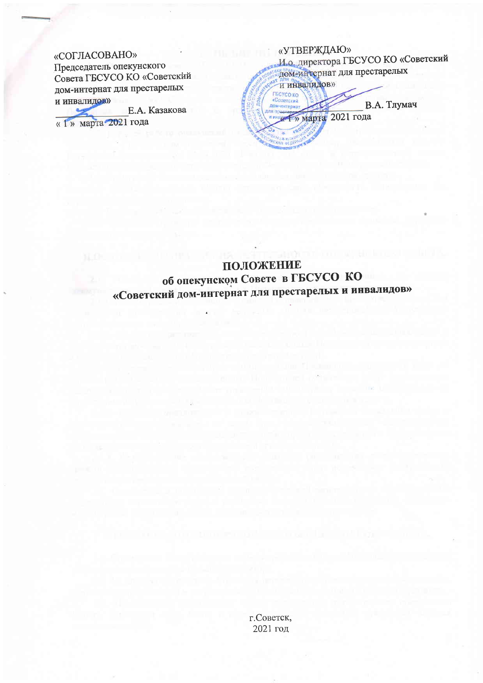### «СОГЛАСОВАНО»

Председатель опекунского Совета ГБСУСО КО «Советский дом-интернат для престарелых и инвалидов»

Е.А. Казакова « 1» марта 2021 года

«УТВЕРЖДАЮ» И.о. директора ГБСУСО КО «Советский дом-интернат для престарелых и инвалидов» ГБСУСО КО «Советский В.А. Тлумач ДОМ-ИНТЕПНА **Марта** 2021 года

### ПОЛОЖЕНИЕ об опекунском Совете в ГБСУСО КО «Советский дом-интернат для престарелых и инвалидов»

г. Советск, 2021 год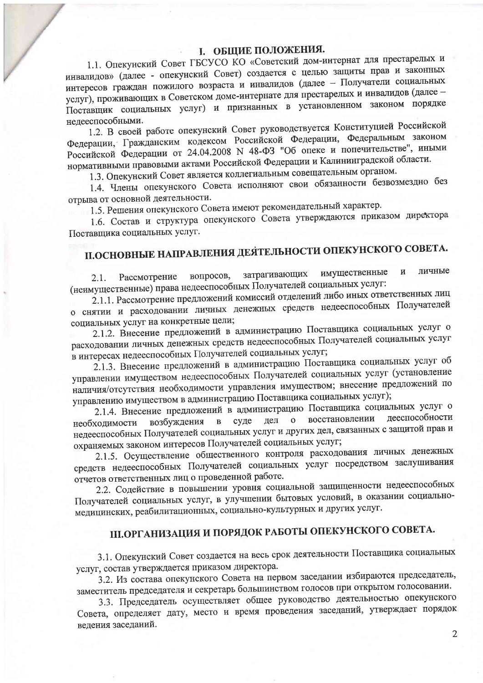### **I. ОБЩИЕ ПОЛОЖЕНИЯ.**

1.1. Опекунский Совет ГБСУСО КО «Советский дом-интернат для престарелых и инвалидов» (далее - опекунский Совет) создается с целью защиты прав и законных интересов граждан пожилого возраста и инвалидов (далее - Получатели социальных услуг), проживающих в Советском доме-интернате для престарелых и инвалидов (далее -Поставщик социальных услуг) и признанных в установленном законом порядке недееспособными.

1.2. В своей работе опекунский Совет руководствуется Конституцией Российской Федерации, Гражданским кодексом Российской Федерации, Федеральным законом Российской Федерации от 24.04.2008 N 48-ФЗ "Об опеке и попечительстве", иными нормативными правовыми актами Российской Федерации и Калининградской области.

1.3. Опекунский Совет является коллегиальным совещательным органом.

1.4. Члены опекунского Совета исполняют свои обязанности безвозмездно без отрыва от основной деятельности.

1.5. Решения опекунского Совета имеют рекомендательный характер.

1.6. Состав и структура опекунского Совета утверждаются приказом директора Поставщика социальных услуг.

# П.ОСНОВНЫЕ НАПРАВЛЕНИЯ ДЕЯТЕЛЬНОСТИ ОПЕКУНСКОГО СОВЕТА.

личные имущественные  $\overline{\mathbf{M}}$ затрагивающих вопросов, Рассмотрение  $2.1.$ (неимущественные) права недееспособных Получателей социальных услуг:

2.1.1. Рассмотрение предложений комиссий отделений либо иных ответственных лиц о снятии и расходовании личных денежных средств недееспособных Получателей социальных услуг на конкретные цели;

2.1.2. Внесение предложений в администрацию Поставщика социальных услуг о расходовании личных денежных средств недееспособных Получателей социальных услуг в интересах недееспособных Получателей социальных услуг;

2.1.3. Внесение предложений в администрацию Поставщика социальных услуг об управлении имуществом недееспособных Получателей социальных услуг (установление наличия/отсутствия необходимости управления имуществом; внесение предложений по управлению имуществом в администрацию Поставщика социальных услуг);

2.1.4. Внесение предложений в администрацию Поставщика социальных услуг о дееспособности восстановлении суде дел  $\mathbf{O}$ возбуждения  $\overline{B}$ необходимости недееспособных Получателей социальных услуг и других дел, связанных с защитой прав и охраняемых законом интересов Получателей социальных услуг;

2.1.5. Осуществление общественного контроля расходования личных денежных средств недееспособных Получателей социальных услуг посредством заслушивания отчетов ответственных лиц о проведенной работе.

2.2. Содействие в повышении уровня социальной защищенности недееспособных Получателей социальных услуг, в улучшении бытовых условий, в оказании социальномедицинских, реабилитационных, социально-культурных и других услуг.

## Ш.ОРГАНИЗАЦИЯ И ПОРЯДОК РАБОТЫ ОПЕКУНСКОГО СОВЕТА.

3.1. Опекунский Совет создается на весь срок деятельности Поставщика социальных услуг, состав утверждается приказом директора.

3.2. Из состава опекунского Совета на первом заседании избираются председатель, заместитель председателя и секретарь большинством голосов при открытом голосовании.

3.3. Председатель осуществляет общее руководство деятельностью опекунского Совета, определяет дату, место и время проведения заседаний, утверждает порядок ведения заседаний.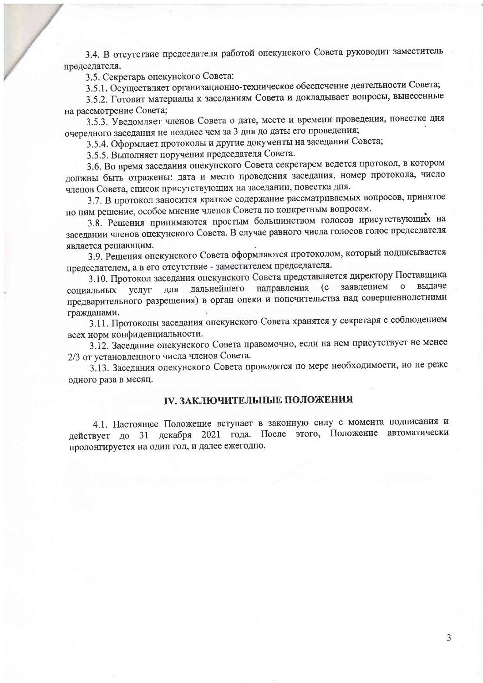3.4. В отсутствие председателя работой опекунского Совета руководит заместитель председателя.

3.5. Секретарь опекунского Совета:

3.5.1. Осуществляет организационно-техническое обеспечение деятельности Совета;

3.5.2. Готовит материалы к заседаниям Совета и докладывает вопросы, вынесенные на рассмотрение Совета;

3.5.3. Уведомляет членов Совета о дате, месте и времени проведения, повестке дня очередного заседания не позднее чем за 3 дня до даты его проведения;

3.5.4. Оформляет протоколы и другие документы на заседании Совета;

3.5.5. Выполняет поручения председателя Совета.

3.6. Во время заседания опекунского Совета секретарем ведется протокол, в котором должны быть отражены: дата и место проведения заседания, номер протокола, число членов Совета, список присутствующих на заседании, повестка дня.

3.7. В протокол заносится краткое содержание рассматриваемых вопросов, принятое по ним решение, особое мнение членов Совета по конкретным вопросам.

3.8. Решения принимаются простым большинством голосов присутствующих на заседании членов опекунского Совета. В случае равного числа голосов голос председателя является решающим.

3.9. Решения опекунского Совета оформляются протоколом, который подписывается председателем, а в его отсутствие - заместителем председателя.

3.10. Протокол заседания опекунского Совета представляется директору Поставщика выдаче для дальнейшего направления (с заявлением о услуг сопиальных предварительного разрешения) в орган опеки и попечительства над совершеннолетними гражданами.

3.11. Протоколы заседания опекунского Совета хранятся у секретаря с соблюдением всех норм конфиденциальности.

3.12. Заседание опекунского Совета правомочно, если на нем присутствует не менее 2/3 от установленного числа членов Совета.

3.13. Заседания опекунского Совета проводятся по мере необходимости, но не реже одного раза в месяц.

#### **IV. ЗАКЛЮЧИТЕЛЬНЫЕ ПОЛОЖЕНИЯ**

4.1. Настоящее Положение вступает в законную силу с момента подписания и действует до 31 декабря 2021 года. После этого, Положение автоматически пролонгируется на один год, и далее ежегодно.